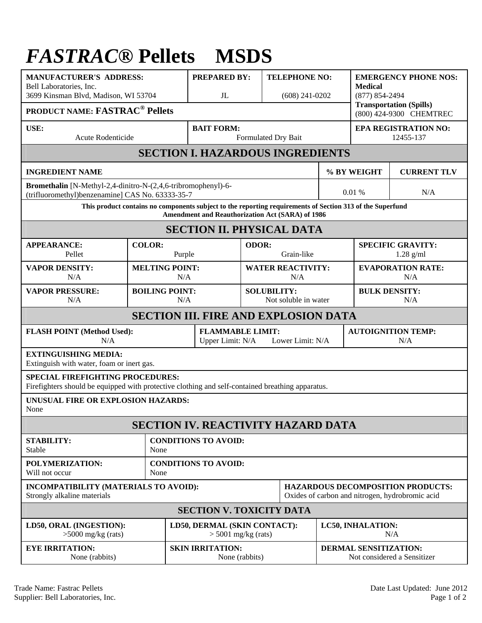## *FASTRAC***® Pellets MSDS**

| <b>MANUFACTURER'S ADDRESS:</b><br>Bell Laboratories, Inc.<br>3699 Kinsman Blvd, Madison, WI 53704                                                             |                         |                              | <b>PREPARED BY:</b><br>J <sub>L</sub>                           |                                                                                             | <b>TELEPHONE NO:</b><br>$(608)$ 241-0202   |                                                             | <b>EMERGENCY PHONE NOS:</b><br><b>Medical</b><br>$(877) 854 - 2494$<br><b>Transportation (Spills)</b> |     |  |
|---------------------------------------------------------------------------------------------------------------------------------------------------------------|-------------------------|------------------------------|-----------------------------------------------------------------|---------------------------------------------------------------------------------------------|--------------------------------------------|-------------------------------------------------------------|-------------------------------------------------------------------------------------------------------|-----|--|
| <b>PRODUCT NAME: FASTRAC<sup>®</sup> Pellets</b>                                                                                                              |                         |                              |                                                                 |                                                                                             |                                            |                                                             | (800) 424-9300 CHEMTREC                                                                               |     |  |
| USE:<br>Acute Rodenticide                                                                                                                                     |                         |                              | <b>BAIT FORM:</b><br>Formulated Dry Bait                        |                                                                                             |                                            | <b>EPA REGISTRATION NO:</b><br>12455-137                    |                                                                                                       |     |  |
| <b>SECTION I. HAZARDOUS INGREDIENTS</b>                                                                                                                       |                         |                              |                                                                 |                                                                                             |                                            |                                                             |                                                                                                       |     |  |
| <b>INGREDIENT NAME</b>                                                                                                                                        |                         |                              |                                                                 |                                                                                             |                                            |                                                             | % BY WEIGHT<br><b>CURRENT TLV</b>                                                                     |     |  |
| Bromethalin [N-Methyl-2,4-dinitro-N-(2,4,6-tribromophenyl)-6-<br>(trifluoromethyl)benzenamine] CAS No. 63333-35-7                                             |                         |                              |                                                                 |                                                                                             |                                            |                                                             | 0.01%                                                                                                 | N/A |  |
| This product contains no components subject to the reporting requirements of Section 313 of the Superfund<br>Amendment and Reauthorization Act (SARA) of 1986 |                         |                              |                                                                 |                                                                                             |                                            |                                                             |                                                                                                       |     |  |
| <b>SECTION II. PHYSICAL DATA</b>                                                                                                                              |                         |                              |                                                                 |                                                                                             |                                            |                                                             |                                                                                                       |     |  |
| <b>APPEARANCE:</b><br>Pellet                                                                                                                                  | <b>COLOR:</b><br>Purple |                              |                                                                 | ODOR:<br>Grain-like                                                                         |                                            | <b>SPECIFIC GRAVITY:</b><br>$1.28$ g/ml                     |                                                                                                       |     |  |
| <b>VAPOR DENSITY:</b><br>N/A                                                                                                                                  |                         | <b>MELTING POINT:</b><br>N/A |                                                                 |                                                                                             | <b>WATER REACTIVITY:</b><br>N/A            |                                                             | <b>EVAPORATION RATE:</b><br>N/A                                                                       |     |  |
| <b>VAPOR PRESSURE:</b><br>N/A                                                                                                                                 |                         | <b>BOILING POINT:</b><br>N/A |                                                                 |                                                                                             | <b>SOLUBILITY:</b><br>Not soluble in water |                                                             | <b>BULK DENSITY:</b><br>N/A                                                                           |     |  |
| <b>SECTION III. FIRE AND EXPLOSION DATA</b>                                                                                                                   |                         |                              |                                                                 |                                                                                             |                                            |                                                             |                                                                                                       |     |  |
| <b>FLASH POINT (Method Used):</b><br>N/A                                                                                                                      |                         |                              | <b>FLAMMABLE LIMIT:</b><br>Upper Limit: N/A<br>Lower Limit: N/A |                                                                                             |                                            |                                                             | <b>AUTOIGNITION TEMP:</b><br>N/A                                                                      |     |  |
| <b>EXTINGUISHING MEDIA:</b><br>Extinguish with water, foam or inert gas.                                                                                      |                         |                              |                                                                 |                                                                                             |                                            |                                                             |                                                                                                       |     |  |
| <b>SPECIAL FIREFIGHTING PROCEDURES:</b><br>Firefighters should be equipped with protective clothing and self-contained breathing apparatus.                   |                         |                              |                                                                 |                                                                                             |                                            |                                                             |                                                                                                       |     |  |
| UNUSUAL FIRE OR EXPLOSION HAZARDS:<br>None                                                                                                                    |                         |                              |                                                                 |                                                                                             |                                            |                                                             |                                                                                                       |     |  |
| <b>SECTION IV. REACTIVITY HAZARD DATA</b>                                                                                                                     |                         |                              |                                                                 |                                                                                             |                                            |                                                             |                                                                                                       |     |  |
| <b>STABILITY:</b><br>Stable                                                                                                                                   | None                    | <b>CONDITIONS TO AVOID:</b>  |                                                                 |                                                                                             |                                            |                                                             |                                                                                                       |     |  |
| POLYMERIZATION:<br>Will not occur                                                                                                                             | None                    | <b>CONDITIONS TO AVOID:</b>  |                                                                 |                                                                                             |                                            |                                                             |                                                                                                       |     |  |
| INCOMPATIBILITY (MATERIALS TO AVOID):<br>Strongly alkaline materials                                                                                          |                         |                              |                                                                 | <b>HAZARDOUS DECOMPOSITION PRODUCTS:</b><br>Oxides of carbon and nitrogen, hydrobromic acid |                                            |                                                             |                                                                                                       |     |  |
| <b>SECTION V. TOXICITY DATA</b>                                                                                                                               |                         |                              |                                                                 |                                                                                             |                                            |                                                             |                                                                                                       |     |  |
| LD50, ORAL (INGESTION):<br>$>5000$ mg/kg (rats)                                                                                                               |                         |                              | LD50, DERMAL (SKIN CONTACT):<br>$>$ 5001 mg/kg (rats)           |                                                                                             |                                            | LC50, INHALATION:<br>N/A                                    |                                                                                                       |     |  |
| <b>EYE IRRITATION:</b><br>None (rabbits)                                                                                                                      |                         |                              | <b>SKIN IRRITATION:</b><br>None (rabbits)                       |                                                                                             |                                            | <b>DERMAL SENSITIZATION:</b><br>Not considered a Sensitizer |                                                                                                       |     |  |